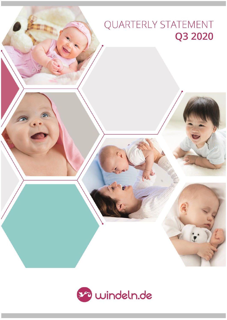# QUARTERLY STATEMENT Q3 2020



 $G$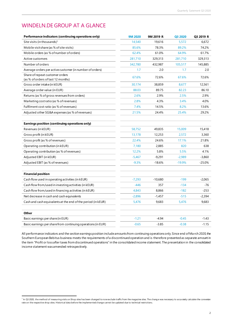### WINDELN.DE GROUP AT A GLANCE

| Performance indicators (continuing operations only)                   | <b>9M 2020</b> | 9M 2019 R | Q3 2020  | Q3 2019 R |
|-----------------------------------------------------------------------|----------------|-----------|----------|-----------|
| Site visits (in thousands) <sup>1</sup>                               | 14,540         | 19,616    | 5,572    | 6,672     |
| Mobile visit share (as % of site visits)                              | 85.6%          | 78.3%     | 89.2%    | 74.2%     |
| Mobile orders (as % of number of orders)                              | 62.4%          | 61.0%     | 64.9%    | 61.7%     |
| Active customers                                                      | 281,710        | 329,313   | 281,710  | 329,313   |
| Number of orders                                                      | 342,780        | 432,987   | 105,517  | 145,885   |
| Average orders per active customer (in number of orders)              | 1.7            | 2.0       | 1.7      | 2.0       |
| Share of repeat customer orders<br>(as % of orders of last 12 months) | 67.6%          | 72.6%     | 67.6%    | 72.6%     |
| Gross order intake (in kEUR)                                          | 30,174         | 38,859    | 8,677    | 12,561    |
| Average order value (in EUR)                                          | 88.03          | 89.75     | 82.23    | 86.10     |
| Returns (as % of gross revenues from orders)                          | 2.6%           | 2.9%      | 2.5%     | 2.9%      |
| Marketing costratio (as % of revenues)                                | 2.8%           | 4.3%      | 3.4%     | 4.0%      |
| Fulfilment cost ratio (as % of revenues)                              | 7.4%           | 14.5%     | 8.2%     | 13.6%     |
| Adjusted other SG&A expenses (as % of revenues)                       | 21.5%          | 24.4%     | 25.4%    | 29.2%     |
|                                                                       |                |           |          |           |
| Earnings position (continuing operations only)                        |                |           |          |           |
| Revenues (in kEUR)                                                    | 58,752         | 49,835    | 15,009   | 15,418    |
| Gross profit (in kEUR)                                                | 13,178         | 12,253    | 2,572    | 3,360     |
| Gross profit (as % of revenues)                                       | 22.4%          | 24.6%     | 17.1%    | 21.8%     |
| Operating contribution (in kEUR)                                      | 7,180          | 2,885     | 820      | 638       |
| Operating contribution (as % of revenues)                             | 12.2%          | 5.8%      | 5.5%     | 4.1%      |
| Adjusted EBIT (in kEUR)                                               | $-5,467$       | $-9,291$  | $-2,989$ | $-3,860$  |
| Adjusted EBIT (as % of revenues)                                      | $-9.3%$        | $-18.6%$  | $-19.9%$ | $-25.0%$  |
|                                                                       |                |           |          |           |
| <b>Financial position</b>                                             |                |           |          |           |
| Cash flow used in operating activities (in kEUR)                      | $-7,293$       | $-10,680$ | $-199$   | $-2,065$  |
| Cash flow from/used in investing activities (in kEUR)                 | $-446$         | 357       | $-134$   | -76       |
| Cash flow from/used in financing activities (in kEUR)                 | 4,843          | 8,866     | $-182$   | $-253$    |
| Net decrease in cash and cash equivalents                             | $-2,896$       | $-1,457$  | $-515$   | $-2,394$  |
| Cash and cash equivalents at the end of the period (in kEUR)          | 5,476          | 9,683     | 5,476    | 9,683     |
|                                                                       |                |           |          |           |
| Other                                                                 |                |           |          |           |
| Basic earnings per share (in EUR)                                     | $-1.21$        | $-4.94$   | $-0.45$  | $-1.43$   |
| Basic earnings per share from continuing operations (in EUR)          | $-0.65$        | $-3.85$   | $-0.38$  | $-1.15$   |

All performance indicators and the section earnings position include amounts from continuing operations only. Since end of Ma rch 2020, the Southern European Bebitus business meets the requirements of a discontinued operation and is therefore presented as separate amount in the item "Profit or loss after taxes from discontinued operations" in the consolidated income statement. The presentation in the consolidated income statement was amended retrospectively.

<sup>&</sup>lt;sup>1</sup> In Q3 2020, the method of measuring visits on Shop sites has been changed to now exclude traffic from the magazine sites. The change was necessary to accurately calculate the conversion rate on the respective shop sites. Historical data before the implemented change cannot be updated due to technical restrictions.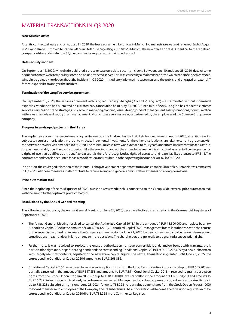### MATERIAL TRANSACTIONS IN Q3 2020

### **New Munich office**

After its contractual lease end on August 31, 2020, the lease agreement for offices in Munich Hofmannstrasse was not renewed. End of August 2020, windeln.de SE moved to its new office in Stefan-George-Ring 23 in 81929 Munich. The new office address is identical to the registered company address of windeln.de SE, the commercial register no. remains unchanged.

### **Data security incident**

On September 16, 2020, windeln.de published a press release on a data security incident. Between June 10 and June 23, 2020, data of some of our customers were temporarily stored on an unprotected server. This was caused by a maintenance error, which has since been corrected. windeln.de gained knowledge about the incident in Q3 2020, immediately informed its customers and the public, and engaged an external IT forensic specialist to analyze the incident.

### **Termination of the LangTao service agreement**

On September16, 2020, the service agreement with LangTao Trading (Shanghai) Co. Ltd. ("LangTao") was terminated without incremental expenses; windeln.de had submitted an extraordinary cancellation as of May 31, 2020. Since mid of 2019, LangTao has rendered customer services, services on brand strategies, project and marketing planning, visual design, product management, sales promotions, communication with sales channels and supply chain management. Most of these services are now performed by the employees of the Chinese Group service company.

### **Progress in envisaged projects in the IT area**

The implementation of the new external shop software could be finalized for the first distribution channel in August 2020; after Go-Live it is subject to regular amortization. In order to mitigate incremental investments for the other distribution channels, the current agreement with the software provider was amended in Q3 2020. The minimum lease term was extended to four years, and future implementation fees are due for payment ratably over the contract period. Like the previous contract, the amended agreement is structured as a rental license granting us a right-of-use that qualifies as an identifiable asset, it is therefore recognized as right-of-use asset and lease liability pursuant to IFRS 16. The contract amendment is accounted for as a modification and resulted in other operating income of EUR 8k in Q3 2020.

In addition, the envisaged relocation of the internal IT shop development department from Munich to the Sibiu office, Romania, was completed in Q3 2020. All these measures shall contribute to reduce selling and general administrative expenses on a long -term basis.

#### **Price automation tool**

Since the beginning of the third quarter of 2020, our shop www.windeln.ch is connected to the Group-wide external price automation tool with the aim to further optimize product margins.

#### **Resolutions by the Annual General Meeting**

The following resolutions by the Annual General Meeting on June 24, 2020, became effective by registration in the Commercial Register as of September4, 2020:

- The Annual General Meeting resolved to cancel the Authorized Capital 2018/I in the amount of EUR 15,500,000 and replace by a new Authorized Capital 2020 in the amount of EUR 4,080,122. By Authorized Capital 2020, management board is authorized, with the consent of the supervisory board, to increase the Company's share capital by June 23, 2025 by issuing new no-par value bearer shares against contributions in cash and/or in kind on one or more occasions. The shareholders are generally to be granted a subscription ri ght.
- Furthermore, it was resolved to replace the unused authorization to issue convertible bonds and/or bonds with warrants, profit participation rights and/or participating bonds and the corresponding Conditional Capital 2019/I of EUR3,226,629 by a new authorization with largely identical contents, adjusted to the new share capital figure. The new authorization is granted until June 23, 2025, the corresponding Conditional Capital 2020/I amounts to EUR 3,263,882.
- Conditional Capital 2015/II resolved to service subscription rights from the Long Term Incentive Program of up to EUR 555,206 was partially cancelled in the amount of EUR 547,355 and amounts to EUR 7,851. Conditional Capital 2018 – resolved to grant subscription rights from the Stock Option Program 2018 – of up to EUR 1,200,000 was cancelled in the amount of EUR 1,184,263 and amounts to EUR 15,737. Subscription rights already issued remain unaffected. Management board and supervisory board were authorized to grant up to 788,228 subscription rights until June 23, 2024, for up to 788,228 no-par value bearer shares from the Stock Option Program 2020 to board members and employees of the Company and its subsidiaries The authorization will become effective upon registration of the corresponding Conditional Capital 2020/II of EUR788,228 in the Commerical Register.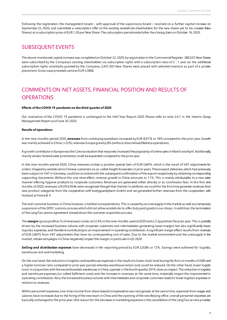Following the registration, the management board – with approval of the supervisory board – resolved on a further capital increase on September25, 2020, and submitted a subscription offer to the existing windeln.de shareholders for the new shares yet to be created (New Shares) at a subscription price of EUR 1.20 per New Share. The subscription period ended after the closing date on October 16, 2020.

### SUBSEQUENT EVENTS

The above-mentioned capital increase was completed on October 22, 2020, by registration in the Commercial Register. 380,525 New Shares were subscribed by the Company's existing shareholders via subscription rights with a subscription ratio of 2 : 1 and via the additional subscription rights voluntarily granted by the Company. 2,441,303 New Shares were placed with selected investors as part of a private placement.Gross issue proceeds came at EUR3,386k.

### COMMENTS ON NET ASSETS, FINANCIAL POSITION AND RESULTS OF **OPERATIONS**

#### **Effects of the COVID 19 pandemic on the third quarter of 2020**

Our evaluation of the COVID 19 pandemic is unchanged to the Half Year Report 2020. Please refer to note 2.4.1 in the Interim Group Management Report as of June 30, 2020.

#### **Results of operations**

In the nine-months-period 2020, *revenues* from continuing operations increased by EUR 8,917k or 18% compared to the prior year. Growth was mainly achieved in China (+22%), whereas Europe grew by 8% (without discontinued Bebitus operations).

A growth contributor in Europe was the Corona situation that massively increased the popularity of online sales in March and April. Additionally, mainly vendor funded sales promotions could be expanded compared to the prior year.

In the nine-months-period 2020, China revenues contain a positive special item of EUR 3,847k, which is the result of VAT adjustments for orders shipped by windeln.de to Chinese customers via so-called freight forwarders in prior years. These export deliveries, which had previously been subject to VAT in Germany, could be corrected with the subsequent confirmation of the export respectively by obtaining corresponding supporting documents. Without this one-time-effect, revenue growth in China amounts to 11%. This is mainly attributable to a new sales channel offering hygiene products to corporate customers. Revenues are generated either directly or as commission fees. In the first nine months of 2020, revenues of EUR 6,954k were recognized though that channel. In addition, we could for the first time generate revenues from new product categories from the cooperation with bodyguardpharm GmbH; and we generated further revenues from the cooperation with Holland at Home B. V.

The end customer business in China, however, is behind our expectations. This is caused by an oversupply in the market as well as a temporary suspension of the SPDC customs process which did not allow windeln.de to offer duty paid goods in our shops. In addition, the termination of the LangTao service agreement slowed down the customer acquisition process.

The **margin** (gross profit as % of revenues) comes at 22.4% in the nine-months-period 2020 and is 2.2pp below the prior year. This is partially driven by the increased business volume with corporate customers and intermediates generating lower margins but also significantly lower logistics expenses, and therefore contributingto an improvement in operating contribution. A significant margin effect results from revenues of EUR 3,847k from VAT adjustments that have no corresponding cost of sales. Due to the market environment and the oversupply in the market, rebate campaigns in China negatively impact the margin, in particular in Q3 2020.

*Selling and distribution expenses* have decreased in the reporting period by EUR 2,028k or 12%. Savings were achieved for logistics, warehouse rent and marketing.

On the one hand, the reduction in logistics and warehouse expenses is the result of a lower stock levelduring the first six months of 2020 and a higher turnover ratio compared to prior year period, whereby warehouse rental costs could be reduced. On the other hand, lower logistic costs in conjunction with the second bonded warehouse in China, opened in the fourth quarter 2019, show an impact. The reduction in logistics and warehouse expenses (so-called fulfilment costs) and the increase in revenues at the same time, materially impact the improvement in operating contribution. Also, the increased business volume with intermediates and corporate customers leads to lower logistics expenses in relation to revenues.

Within personnel expenses, one-time income from share-based compensation was recognized, at the same time, expenses from wages and salaries have increased due to the hiring of the new team in China and the opening of the new Beijing office; overall personnel expenses are basically unchanged to the prior year. One reason for the decrease in marketing expenses is the cancellation of the LangTao service provider.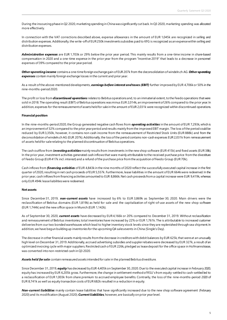During the insourcing phase in Q2 2020, marketing spending in China was significantly cut back. In Q3 2020, marketing spending was allocated more effectively.

In connection with the VAT corrections described above, expense allowances in the amount of EUR 1,045k are recognized in selling and distribution expenses. Additionally, the write-off of EUR 250k investments subsidies paid to KFG is recognized as an expense within selling and distribution expenses.

*Administrative expenses* are EUR 1,703k or 29% below the prior year period. This mainly results from a one-time income in share-based compensation in 2020 and a one-time expense in the prior year from the program "Incentive 2019" that leads to a decrease in personnel expenses of 39% compared to the prior year period.

*Other operating income* contains a one-time foreign exchange gain of EUR 207k from the deconsolidation of windeln.ch AG. *Other operating expenses* contain mainly foreign exchange losses in the current and prior year.

As a result of the above-mentioned developments, *earnings before interest and taxes (EBIT)* further improved by EUR 4,706k or 50% in the nine-months-period2020.

The profit or loss from *discontinued operations* relates to Bebitus operations and, to an immaterial extent, to the Feedo operations that were sold in 2018. The operating result (EBIT) of Bebitus operations was minus EUR 2,014k, an improvement of 26% compared to the prior year. In addition, expenses for the remeasurement of assets held for sale in the amount of EUR 2,031k were recognized within discontinued operations.

#### **Financial position**

In the nine-months-period 2020, the Group generated negative cash flows from *operating activities* in the amount of EUR 7,293k, which is an improvement of 32% compared to the prior year period and results mainly from the improved EBIT margin. The loss of the period could be reduced by EUR3,350k, however, it contains non-cash income from the remeasurement of Restricted Stock Units (EUR 888k) and from the deconsolidation of windeln.ch AG (EUR 207k). Additionally, the loss of the period contains non-cash expenses EUR2,031k from remeasurement of assets held for sale relating to the planned discontinuation of Bebitus operations.

The cash outflow from *investing activities*mainly results from investments in the new shop software (EUR 415k) and fixed assets (EUR 38k). In the prior year, investment activities generated cash inflows that ware mainly attributable to the received purchase price from the divestiture of Feedo Group (EUR 417k incl. interest) and a refund of the purchase price from the acquisition of Feedo Group (EUR70k).

Cash inflows from *financing activities* of EUR 4,843k in the nine months of 2020 reflect the successfully executed capital increase in the first quarter of 2020, resulting in net cash proceeds of EUR 5,557k. Furthermore, lease liabilities in the amount of EUR 664k were redeemed. In the prior year, cash inflows from financing activities amounted to EUR 8,866k. Net cash proceeds from a capital increase were EUR 9,419k, whereas only EUR 494k lease liabilities were redeemed.

#### **Net assets**

Since December31, 2019, *non-current assets* have increased by 6% to EUR 3,869k as September 30, 2020. Main drivers were the reclassification of Bebitus domains (EUR 1,819k) as held for sale and the capitalization of right-of-use assets of the new shop software (EUR 1,744k) and the new office space in Munich (EUR 1,142k).

As of September 30, 2020, *current assets* have decreased by EUR4,166k or 20% compared to December 31, 2019. Without reclassification and remeasurement of Bebitus inventories, total inventories have increased by 22% or EUR 1,761k. The is attributable to increased customer deliveries from our two bonded warehouses which lead to higher inventory stock levels since they are replenished through sea shipment. In addition, we have begun building up inventories for the upcoming Q4 sales events in China (Single's Day).

The decrease in other financial assets mainly results from the decrease in creditors with debit balances by EUR 625k, that were at an unusually high level on December 31, 2019. Additionally, accrued advertising subsidies and suppler rebates were decreased by EUR 327k, a result of an optimized invoicing cycle with major suppliers. Restricted cash of EUR 226k, pledged as lease deposit for the office space in Hofmannstrasse, was converted into non-restricted cash in Q3 2020.

*Assets held for sale* contain remeasured assets intended for sale in the planned Bebitus divestiture.

Since December 31, 2019, *equity* has decreased by EUR 4,405k on September 30, 2020. Due to the executed capital increase in February 2020, equity has increased by EUR 6,205k gross. Furthermore, the change in settlement method of RSU's from equity-settled to cash-settled led to a reclassification of EUR 1,003k from share premium to accrued employee benefits. Contrarily, the loss of the nine-months-period 2020 of EUR 8,741k as well as equity transaction costs of EUR 682k resulted in a reduction in equity.

*Non-current liabilities* mainly contain lease liabilities that have significantly increased due to the new shop software agreement (February 2020) and its modification (August 2020). *Current liabilities*, however, are basically on prior year level.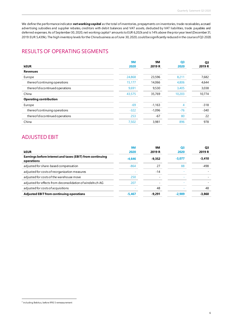We define the performance indicator *net working capital* as the total of inventories, prepayments on inventories, trade receivables, accrued advertising subsidies and supplier rebates, creditors with debit balances and VAT assets, deducted by VAT liabilities, trade payables and deferred expenses. As of September30, 2020, net working capital <sup>2</sup> amounts to EUR 6,202k and is 14% above the prior year level (December 31, 2019: EUR 5,439k). The high inventory levels for the China business as of June 30, 2020, could be significantly reduced in the course of Q3 2020.

### RESULTS OF OPERATING SEGMENTS

| <b>kEUR</b>                     | 9M<br>2020 | 9M<br>2019 R | <b>Q3</b><br>2020 | Q <sub>3</sub><br>2019 R |
|---------------------------------|------------|--------------|-------------------|--------------------------|
| <b>Revenues</b>                 |            |              |                   |                          |
| Europe                          | 24,868     | 23,596       | 8,211             | 7,682                    |
| thereof continuing operations   | 15,177     | 14,066       | 4,806             | 4,644                    |
| thereof discontinued operations | 9,691      | 9,530        | 3,405             | 3,038                    |
| China                           | 43,575     | 35,769       | 10,203            | 10,774                   |
| <b>Operating contribution</b>   |            |              |                   |                          |
| Europe                          | $-69$      | $-1,163$     | 4                 | $-318$                   |
| thereof continuing operations   | $-322$     | $-1,096$     | $-76$             | $-340$                   |
| thereof discontinued operations | 253        | $-67$        | 80                | 22                       |
| China                           | 7,502      | 3,981        | 896               | 978                      |
|                                 |            |              |                   |                          |

### ADJUSTED EBIT

| kEUR                                                                    | <b>9M</b><br>2020 | <b>9M</b><br>2019 R          | <b>O3</b><br>2020 | Q <sub>3</sub><br>2019 R |
|-------------------------------------------------------------------------|-------------------|------------------------------|-------------------|--------------------------|
| Earnings before interest and taxes (EBIT) from continuing<br>operations | $-4.646$          | $-9.352$                     | $-3,077$          | $-3,410$                 |
| adjusted for share-based compensation                                   | $-864$            | 27                           | 88                | -498                     |
| adjusted for costs of reorganization measures                           |                   | $-14$                        |                   |                          |
| adjusted for costs of the warehouse move                                | 250               | $\qquad \qquad \blacksquare$ |                   |                          |
| adjusted for effects from deconsolidation of windeln.ch AG              | 207               | $\qquad \qquad \blacksquare$ |                   |                          |
| adjusted for costs of acquisitions                                      |                   | 48                           |                   | 48                       |
| <b>Adjusted EBIT from continuing operations</b>                         | $-5.467$          | $-9.291$                     | $-2.989$          | $-3,860$                 |

<sup>&</sup>lt;sup>2</sup> including Bebitus, before IFRS 5 remeasurement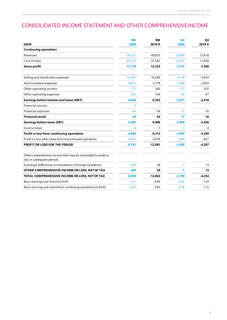### CONSOLIDATED INCOME STATEMENT AND OTHER COMPREHENSIVE INCOME

| <b>kEUR</b>                                                                                     | 9M<br>2020 | <b>9M</b><br>2019 R | Q <sub>3</sub><br>2020 | Q <sub>3</sub><br>2019 R |
|-------------------------------------------------------------------------------------------------|------------|---------------------|------------------------|--------------------------|
| <b>Continuing operations</b>                                                                    |            |                     |                        |                          |
| Revenues                                                                                        | 58,752     | 49,835              | 15,009                 | 15,418                   |
| Cost of sales                                                                                   | $-45,574$  | $-37,582$           | $-12,437$              | $-12,058$                |
| <b>Gross profit</b>                                                                             | 13,178     | 12,253              | 2,572                  | 3,360                    |
| Selling and distribution expenses                                                               | $-14,261$  | $-16,289$           | $-4,128$               | $-4,924$                 |
| Administrative expenses                                                                         | $-4.075$   | $-5.778$            | $-1.608$               | $-2,054$                 |
| Other operating income                                                                          | 715        | 566                 | 117                    | 255                      |
| Other operating expenses                                                                        | $-203$     | $-104$              | $-30$                  | -47                      |
| Earnings before interest and taxes (EBIT)                                                       | $-4,646$   | $-9,352$            | $-3,077$               | $-3,410$                 |
| Financial income                                                                                | 5          |                     |                        |                          |
| Financial expenses                                                                              | $-44$      | $-54$               | $-17$                  | $-16$                    |
| <b>Financial result</b>                                                                         | $-39$      | $-54$               | $-17$                  | $-16$                    |
| <b>Earnings before taxes (EBT)</b>                                                              | $-4,685$   | $-9,406$            | $-3,094$               | $-3,426$                 |
| Income taxes                                                                                    | $-4$       | $-7$                | $-1$                   | $-4$                     |
| Profit or loss from continuing operations                                                       | $-4,689$   | $-9,413$            | $-3,095$               | $-3,430$                 |
| Profit or loss after taxes from discontinued operations                                         | $-4,052$   | $-2,678$            | $-604$                 | $-837$                   |
| PROFIT OR LOSS FOR THE PERIOD                                                                   | $-8,741$   | $-12,091$           | $-3,699$               | $-4,267$                 |
| Other comprehensive income that may be reclassified to profit or<br>loss in subsequent periods: |            |                     |                        |                          |
| Exchange differences on translation of foreign operations                                       | $-209$     | 28                  | $-1$                   | 13                       |
| OTHER COMPREHENSIVE INCOME OR LOSS, NET OF TAX                                                  | $-209$     | 28                  | $-1$                   | 13                       |
| TOTAL COMPREHENSIVE INCOME OR LOSS, NET OF TAX                                                  | $-8,950$   | $-12,063$           | $-3,700$               | $-4,254$                 |
| Basic earnings per share (in EUR)                                                               | $-1.21$    | $-4.94$             | $-0.45$                | $-1.43$                  |
| Basic earnings per share from continuing operations (in EUR)                                    | $-0.65$    | $-3.85$             | $-0.38$                | $-1.15$                  |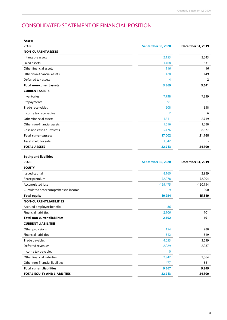## CONSOLIDATED STATEMENT OF FINANCIAL POSITION

| Assets                               |                    |                   |
|--------------------------------------|--------------------|-------------------|
| <b>kEUR</b>                          | September 30, 2020 | December 31, 2019 |
| <b>NON-CURRENT ASSETS</b>            |                    |                   |
| Intangibleassets                     | 2,153              | 2,843             |
| Fixed assets                         | 1,468              | 631               |
| Other financial assets               | 116                | 16                |
| Other non-financial assets           | 128                | 149               |
| Deferred tax assets                  | 4                  | 2                 |
| <b>Total non-current assets</b>      | 3,869              | 3,641             |
| <b>CURRENT ASSETS</b>                |                    |                   |
| Inventories                          | 7,798              | 7,339             |
| Prepayments                          | 91                 | 1                 |
| Trade receivables                    | 608                | 838               |
| Income tax receivables               | 2                  | 6                 |
| Other financial assets               | 1,511              | 2,719             |
| Other non-financial assets           | 1,516              | 1,888             |
| Cash and cash equivalents            | 5,476              | 8,377             |
| <b>Total current assets</b>          | 17,002             | 21,168            |
| Assets held for sale                 | 1,842              |                   |
| <b>TOTAL ASSETS</b>                  | 22,713             | 24,809            |
|                                      |                    |                   |
| <b>Equity and liabilities</b>        |                    |                   |
|                                      |                    |                   |
| <b>kEUR</b>                          | September 30, 2020 | December 31, 2019 |
| <b>EQUITY</b>                        |                    |                   |
| Issued capital                       | 8,160              | 2,989             |
| Share premium                        | 172,278            | 172,904           |
| <b>Accumulated loss</b>              | $-169,475$         | $-160,734$        |
| Cumulated other comprehensive income | -9                 | 200               |
| <b>Total equity</b>                  | 10,954             | 15,359            |
| <b>NON-CURRENT LIABILITIES</b>       |                    |                   |
| Accrued employee benefits            | 86                 |                   |
| <b>Financial liabilities</b>         | 2,106              | 101               |
| <b>Total non-current liabilities</b> | 2,192              | 101               |
| <b>CURRENT LIABILITIES</b>           |                    |                   |
| Other provisions                     | 154                | 288               |
| <b>Financial liabilities</b>         | 512                | 519               |
| Trade payables                       | 4,053              | 3,639             |
| Deferred revenues                    | 2,029              | 2,287             |
| Income tax payables                  | 0                  | 1                 |
| Other financial liabilities          | 2,342              | 2,064             |
| Other non-financial liabilities      | 477                | 551               |
| <b>Total current liabilities</b>     | 9,567              | 9,349             |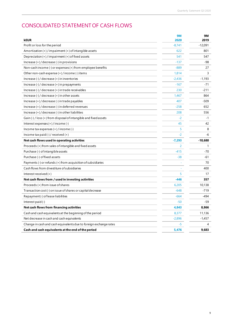### CONSOLIDATED STATEMENT OF CASH FLOWS

| <b>kEUR</b>                                                                                              | <b>9M</b><br>2020 | 9M<br>2019 |
|----------------------------------------------------------------------------------------------------------|-------------------|------------|
| Profit or loss for the period                                                                            | $-8,741$          | $-12,091$  |
| Amortization $(+)/$ impairment $(+)$ of intangible assets                                                | 622               | 801        |
| Depreciation (+) / impairment (+) of fixed assets                                                        | 541               | 547        |
| Increase $(+)/$ decrease $(-)$ in provisions                                                             | $-137$            | -98        |
| Non-cash income $\left(\frac{1}{2}\right)$ or expenses $\left(\frac{1}{2}\right)$ from employee benefits | $-889$            | 27         |
| Other non-cash expense $(+)$ / income $($ - $)$ items                                                    | 1,814             | 3          |
| Increase $(-)$ / decrease $(+)$ in inventories                                                           | $-2,436$          | $-1,193$   |
| Increase $\left(\frac{1}{2}\right)$ / decrease $\left(\frac{1}{2}\right)$ in prepayments                 | $-167$            | $-71$      |
| Increase $\left(\frac{1}{2}\right)$ decrease $\left(\frac{1}{2}\right)$ in trade receivables             | 230               | -211       |
| Increase $\left(\frac{1}{2}\right)$ decrease $\left(\frac{1}{2}\right)$ in other assets                  | 1,467             | 864        |
| Increase (+)/decrease (-) in trade payables                                                              | 407               | $-509$     |
| $Increase (+)/decrease (-)$ in deferred revenues                                                         | $-258$            | 652        |
| Increase $(+)/$ decrease $(-)$ in other liabilities                                                      | 208               | 556        |
| Gain (-) / loss (+) from disposal of intangible and fixed assets                                         | $-2$              | $-1$       |
| Interest expenses $(+)/$ income $(-)$                                                                    | 45                | 42         |
| Income tax expenses $(+)/$ income $(-)$                                                                  | 5                 | 8          |
| Income tax paid $(-)$ / received $(+)$                                                                   | $-2$              | -6         |
| Net cash flows used in operating activities                                                              | $-7,293$          | $-10,680$  |
| Proceeds (+) from sales of intangible and fixed assets                                                   | 2                 | 1          |
| Purchase (-) of intangible assets                                                                        | $-415$            | $-70$      |
| Purchase (-) of fixed assets                                                                             | $-38$             | -61        |
| Payments (-) or refunds (+) from acquisition of subsidiaries                                             |                   | 70         |
| Cash flows from divestiture of subsidiaries                                                              |                   | 400        |
| Interest received $(+)$                                                                                  | 5                 | 17         |
| Net cash flows from / used in investing activities                                                       | $-446$            | 357        |
| Proceeds (+) from issue of shares                                                                        | 6,205             | 10,138     |
| Transaction cost (-) on issue of shares or capital decrease                                              | $-648$            | -719       |
| Repayment (-) of lease liabilities                                                                       | $-664$            | -494       |
| Interest paid $(-)$                                                                                      | $-50$             | -59        |
| Net cash flows from financing activities                                                                 | 4,843             | 8,866      |
| Cash and cash equivalents at the beginning of the period                                                 | 8,377             | 11,136     |
| Net decrease in cash and cash equivalents                                                                | $-2,896$          | $-1,457$   |
| Change in cash and cash equivalents due to foreign exchange rates                                        | -5                | 4          |
| Cash and cash equivalents at the end of the period                                                       | 5.476             | 9.683      |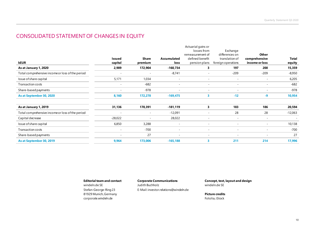### CONSOLIDATED STATEMENT OF CHANGES IN EQUITY

|                                                  |                          |                          |                          | Actuarial gains or       |                          |                          |              |
|--------------------------------------------------|--------------------------|--------------------------|--------------------------|--------------------------|--------------------------|--------------------------|--------------|
|                                                  |                          |                          |                          | losses from              | Exchange                 |                          |              |
|                                                  |                          |                          |                          | remeasurement of         | differences on           | Other                    |              |
|                                                  | <b>Issued</b>            | Share                    | Accumulated              | defined benefit          | translation of           | comprehensive            | <b>Total</b> |
| <b>kEUR</b>                                      | capital                  | premium                  | loss                     | pension plans            | foreign operations       | income or loss           | equity       |
| As at January 1, 2020                            | 2,989                    | 172,904                  | $-160,734$               | 3                        | 197                      | 200                      | 15,359       |
| Total comprehensive income or loss of the period |                          | $\overline{\phantom{a}}$ | $-8,741$                 | ۰                        | $-209$                   | $-209$                   | $-8,950$     |
| Issue of share capital                           | 5,171                    | 1,034                    | $\overline{\phantom{a}}$ | $\overline{\phantom{a}}$ | $\overline{\phantom{a}}$ | $\overline{\phantom{a}}$ | 6,205        |
| Transaction costs                                |                          | $-682$                   | $\overline{\phantom{a}}$ | $\overline{\phantom{a}}$ | $\overline{a}$           | $\overline{\phantom{0}}$ | $-682$       |
| Share-based payments                             | $\overline{\phantom{a}}$ | $-978$                   | $\overline{\phantom{a}}$ | $\sim$                   | $\overline{\phantom{a}}$ | $\overline{\phantom{a}}$ | $-978$       |
| As at September 30, 2020                         | 8,160                    | 172,278                  | $-169,475$               | 3                        | $-12$                    | -9                       | 10,954       |
| As at January 1, 2019                            | 31,136                   | 170,391                  | $-181,119$               | 3                        | 183                      | 186                      | 20,594       |
| Total comprehensive income or loss of the period |                          | $\overline{\phantom{a}}$ | $-12,091$                | $\overline{\phantom{a}}$ | 28                       | 28                       | $-12,063$    |
| Capital decrease                                 | $-28,022$                |                          | 28,022                   | ۰                        |                          | $\overline{\phantom{a}}$ |              |
| Issue of share capital                           | 6,850                    | 3,288                    | $\overline{\phantom{a}}$ | $\overline{\phantom{a}}$ |                          | $\overline{\phantom{a}}$ | 10,138       |
| Transaction costs                                |                          | $-700$                   | ٠                        | $\overline{\phantom{a}}$ |                          | ۰                        | $-700$       |
| Share-based payments                             | $\overline{\phantom{a}}$ | 27                       | $\overline{\phantom{a}}$ | $\overline{\phantom{a}}$ | $\overline{\phantom{a}}$ | $\overline{\phantom{a}}$ | 27           |
| As at September 30, 2019                         | 9,964                    | 173,006                  | $-165,188$               | 3                        | 211                      | 214                      | 17,996       |

81929 Munich, Germany **Picture credits** corporate.windeln.de Fotolia, iStock

windeln.de SE Judith Buchholz windeln.de SE Stefan-George-Ring 23 E-Mail: investor.relations@windeln.de

**Editorial team and contact Corporate Communications Concept, text, layout and design**